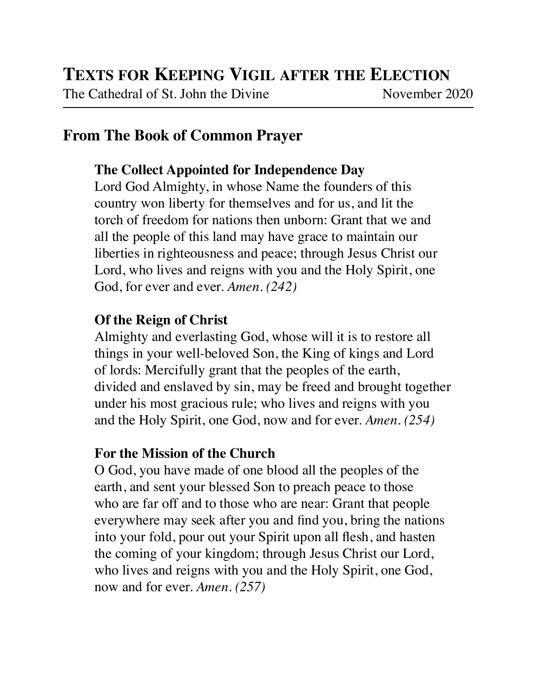The Cathedral of St. John the Divine November 2020

# **From The Book of Common Prayer**

# **The Collect Appointed for Independence Day**

Lord God Almighty, in whose Name the founders of this country won liberty for themselves and for us, and lit the torch of freedom for nations then unborn: Grant that we and all the people of this land may have grace to maintain our liberties in righteousness and peace; through Jesus Christ our Lord, who lives and reigns with you and the Holy Spirit, one God, for ever and ever. *Amen. (242)*

# **Of the Reign of Christ**

Almighty and everlasting God, whose will it is to restore all things in your well-beloved Son, the King of kings and Lord of lords: Mercifully grant that the peoples of the earth, divided and enslaved by sin, may be freed and brought together under his most gracious rule; who lives and reigns with you and the Holy Spirit, one God, now and for ever. *Amen. (254)*

# **For the Mission of the Church**

O God, you have made of one blood all the peoples of the earth, and sent your blessed Son to preach peace to those who are far off and to those who are near: Grant that people everywhere may seek after you and find you, bring the nations into your fold, pour out your Spirit upon all flesh, and hasten the coming of your kingdom; through Jesus Christ our Lord, who lives and reigns with you and the Holy Spirit, one God, now and for ever. *Amen. (257)*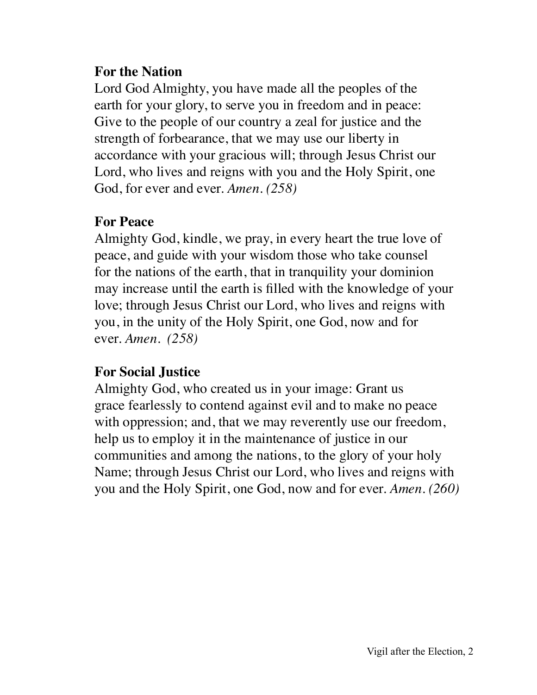## **For the Nation**

Lord God Almighty, you have made all the peoples of the earth for your glory, to serve you in freedom and in peace: Give to the people of our country a zeal for justice and the strength of forbearance, that we may use our liberty in accordance with your gracious will; through Jesus Christ our Lord, who lives and reigns with you and the Holy Spirit, one God, for ever and ever. *Amen. (258)*

#### **For Peace**

Almighty God, kindle, we pray, in every heart the true love of peace, and guide with your wisdom those who take counsel for the nations of the earth, that in tranquility your dominion may increase until the earth is filled with the knowledge of your love; through Jesus Christ our Lord, who lives and reigns with you, in the unity of the Holy Spirit, one God, now and for ever. *Amen. (258)*

## **For Social Justice**

Almighty God, who created us in your image: Grant us grace fearlessly to contend against evil and to make no peace with oppression; and, that we may reverently use our freedom, help us to employ it in the maintenance of justice in our communities and among the nations, to the glory of your holy Name; through Jesus Christ our Lord, who lives and reigns with you and the Holy Spirit, one God, now and for ever. *Amen. (260)*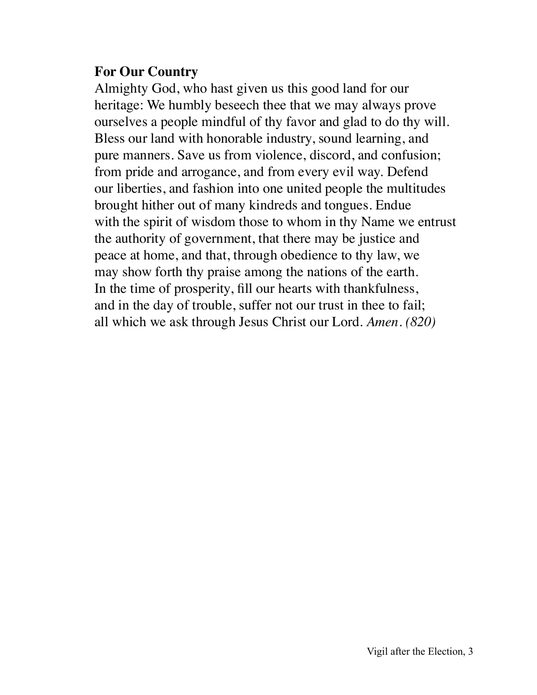## **For Our Country**

Almighty God, who hast given us this good land for our heritage: We humbly beseech thee that we may always prove ourselves a people mindful of thy favor and glad to do thy will. Bless our land with honorable industry, sound learning, and pure manners. Save us from violence, discord, and confusion; from pride and arrogance, and from every evil way. Defend our liberties, and fashion into one united people the multitudes brought hither out of many kindreds and tongues. Endue with the spirit of wisdom those to whom in thy Name we entrust the authority of government, that there may be justice and peace at home, and that, through obedience to thy law, we may show forth thy praise among the nations of the earth. In the time of prosperity, fill our hearts with thankfulness, and in the day of trouble, suffer not our trust in thee to fail; all which we ask through Jesus Christ our Lord. *Amen. (820)*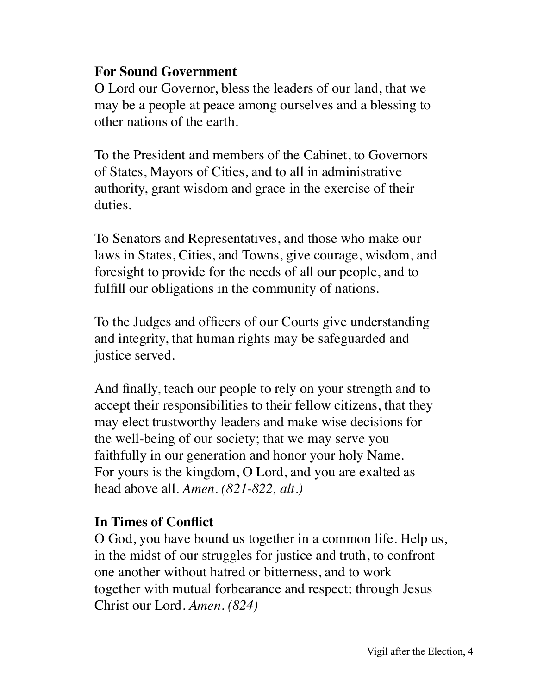## **For Sound Government**

O Lord our Governor, bless the leaders of our land, that we may be a people at peace among ourselves and a blessing to other nations of the earth.

To the President and members of the Cabinet, to Governors of States, Mayors of Cities, and to all in administrative authority, grant wisdom and grace in the exercise of their duties.

To Senators and Representatives, and those who make our laws in States, Cities, and Towns, give courage, wisdom, and foresight to provide for the needs of all our people, and to fulfill our obligations in the community of nations.

To the Judges and officers of our Courts give understanding and integrity, that human rights may be safeguarded and justice served.

And finally, teach our people to rely on your strength and to accept their responsibilities to their fellow citizens, that they may elect trustworthy leaders and make wise decisions for the well-being of our society; that we may serve you faithfully in our generation and honor your holy Name. For yours is the kingdom, O Lord, and you are exalted as head above all. *Amen. (821-822, alt.)*

## **In Times of Conflict**

O God, you have bound us together in a common life. Help us, in the midst of our struggles for justice and truth, to confront one another without hatred or bitterness, and to work together with mutual forbearance and respect; through Jesus Christ our Lord. *Amen. (824)*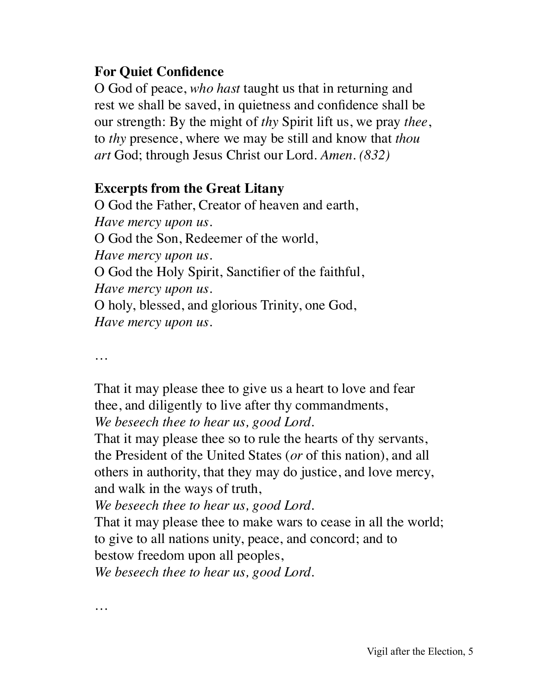## **For Quiet Confidence**

O God of peace, *who hast* taught us that in returning and rest we shall be saved, in quietness and confidence shall be our strength: By the might of *thy* Spirit lift us, we pray *thee*, to *thy* presence, where we may be still and know that *thou art* God; through Jesus Christ our Lord. *Amen. (832)*

# **Excerpts from the Great Litany**

O God the Father, Creator of heaven and earth, *Have mercy upon us.* O God the Son, Redeemer of the world, *Have mercy upon us.* O God the Holy Spirit, Sanctifier of the faithful, *Have mercy upon us.* O holy, blessed, and glorious Trinity, one God, *Have mercy upon us.*

*…*

*…*

That it may please thee to give us a heart to love and fear thee, and diligently to live after thy commandments, *We beseech thee to hear us, good Lord.*

That it may please thee so to rule the hearts of thy servants, the President of the United States (*or* of this nation), and all others in authority, that they may do justice, and love mercy, and walk in the ways of truth,

*We beseech thee to hear us, good Lord.*

That it may please thee to make wars to cease in all the world; to give to all nations unity, peace, and concord; and to bestow freedom upon all peoples,

*We beseech thee to hear us, good Lord.*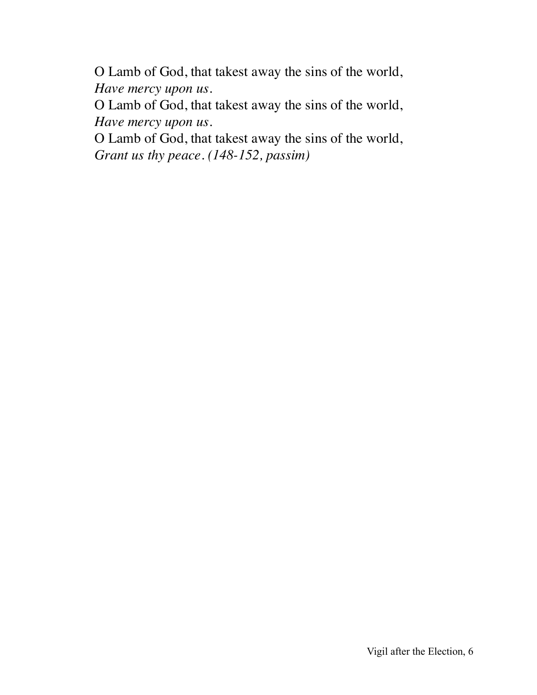O Lamb of God, that takest away the sins of the world, *Have mercy upon us.*

O Lamb of God, that takest away the sins of the world, *Have mercy upon us.*

O Lamb of God, that takest away the sins of the world, *Grant us thy peace. (148-152, passim)*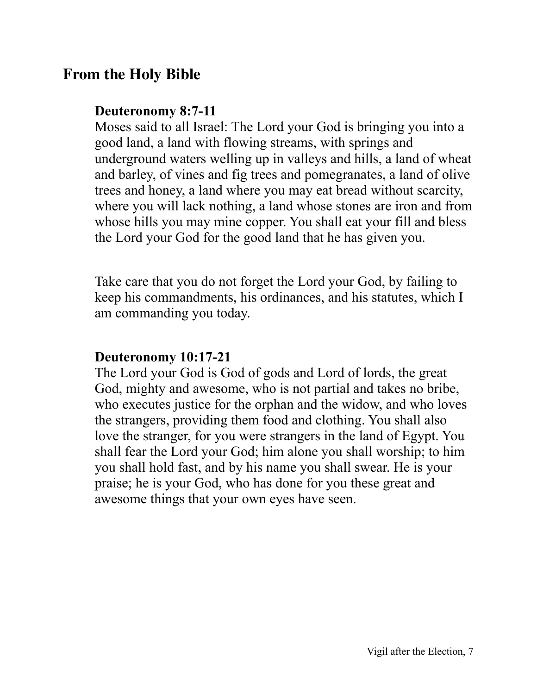# **From the Holy Bible**

#### **Deuteronomy 8:7-11**

Moses said to all Israel: The Lord your God is bringing you into a good land, a land with flowing streams, with springs and underground waters welling up in valleys and hills, a land of wheat and barley, of vines and fig trees and pomegranates, a land of olive trees and honey, a land where you may eat bread without scarcity, where you will lack nothing, a land whose stones are iron and from whose hills you may mine copper. You shall eat your fill and bless the Lord your God for the good land that he has given you.

Take care that you do not forget the Lord your God, by failing to keep his commandments, his ordinances, and his statutes, which I am commanding you today.

#### **Deuteronomy 10:17-21**

The Lord your God is God of gods and Lord of lords, the great God, mighty and awesome, who is not partial and takes no bribe, who executes justice for the orphan and the widow, and who loves the strangers, providing them food and clothing. You shall also love the stranger, for you were strangers in the land of Egypt. You shall fear the Lord your God; him alone you shall worship; to him you shall hold fast, and by his name you shall swear. He is your praise; he is your God, who has done for you these great and awesome things that your own eyes have seen.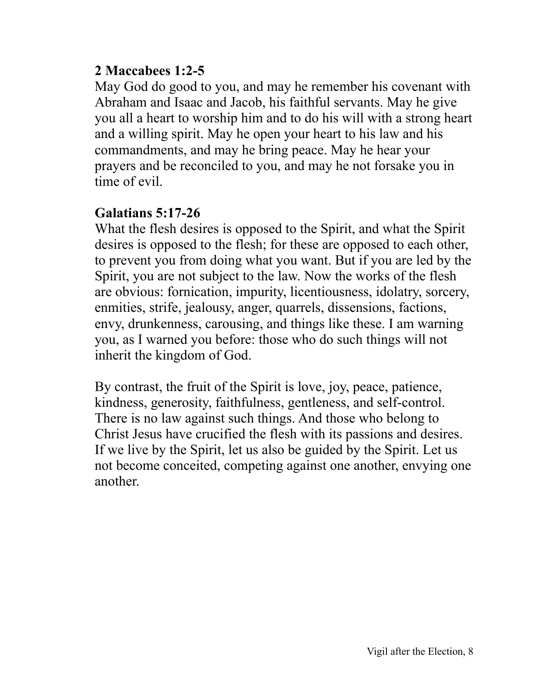## **2 Maccabees 1:2-5**

May God do good to you, and may he remember his covenant with Abraham and Isaac and Jacob, his faithful servants. May he give you all a heart to worship him and to do his will with a strong heart and a willing spirit. May he open your heart to his law and his commandments, and may he bring peace. May he hear your prayers and be reconciled to you, and may he not forsake you in time of evil.

## **Galatians 5:17-26**

What the flesh desires is opposed to the Spirit, and what the Spirit desires is opposed to the flesh; for these are opposed to each other, to prevent you from doing what you want. But if you are led by the Spirit, you are not subject to the law. Now the works of the flesh are obvious: fornication, impurity, licentiousness, idolatry, sorcery, enmities, strife, jealousy, anger, quarrels, dissensions, factions, envy, drunkenness, carousing, and things like these. I am warning you, as I warned you before: those who do such things will not inherit the kingdom of God.

By contrast, the fruit of the Spirit is love, joy, peace, patience, kindness, generosity, faithfulness, gentleness, and self-control. There is no law against such things. And those who belong to Christ Jesus have crucified the flesh with its passions and desires. If we live by the Spirit, let us also be guided by the Spirit. Let us not become conceited, competing against one another, envying one another.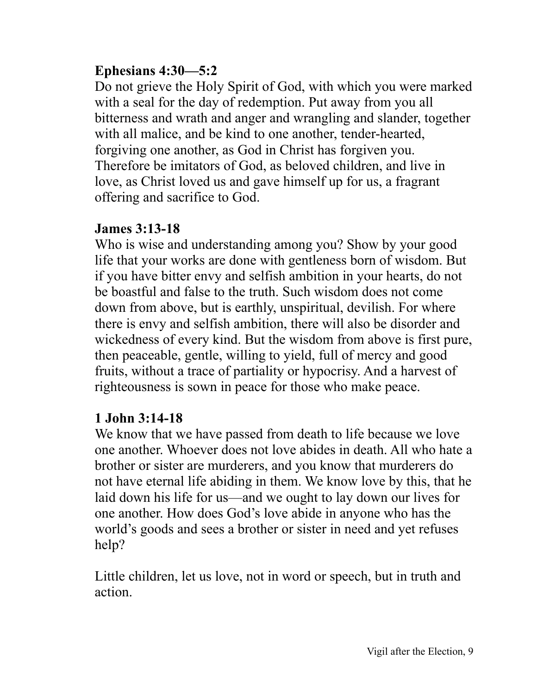# **Ephesians 4:30—5:2**

Do not grieve the Holy Spirit of God, with which you were marked with a seal for the day of redemption. Put away from you all bitterness and wrath and anger and wrangling and slander, together with all malice, and be kind to one another, tender-hearted, forgiving one another, as God in Christ has forgiven you. Therefore be imitators of God, as beloved children, and live in love, as Christ loved us and gave himself up for us, a fragrant offering and sacrifice to God.

# **James 3:13-18**

Who is wise and understanding among you? Show by your good life that your works are done with gentleness born of wisdom. But if you have bitter envy and selfish ambition in your hearts, do not be boastful and false to the truth. Such wisdom does not come down from above, but is earthly, unspiritual, devilish. For where there is envy and selfish ambition, there will also be disorder and wickedness of every kind. But the wisdom from above is first pure, then peaceable, gentle, willing to yield, full of mercy and good fruits, without a trace of partiality or hypocrisy. And a harvest of righteousness is sown in peace for those who make peace.

# **1 John 3:14-18**

We know that we have passed from death to life because we love one another. Whoever does not love abides in death. All who hate a brother or sister are murderers, and you know that murderers do not have eternal life abiding in them. We know love by this, that he laid down his life for us—and we ought to lay down our lives for one another. How does God's love abide in anyone who has the world's goods and sees a brother or sister in need and yet refuses help?

Little children, let us love, not in word or speech, but in truth and action.